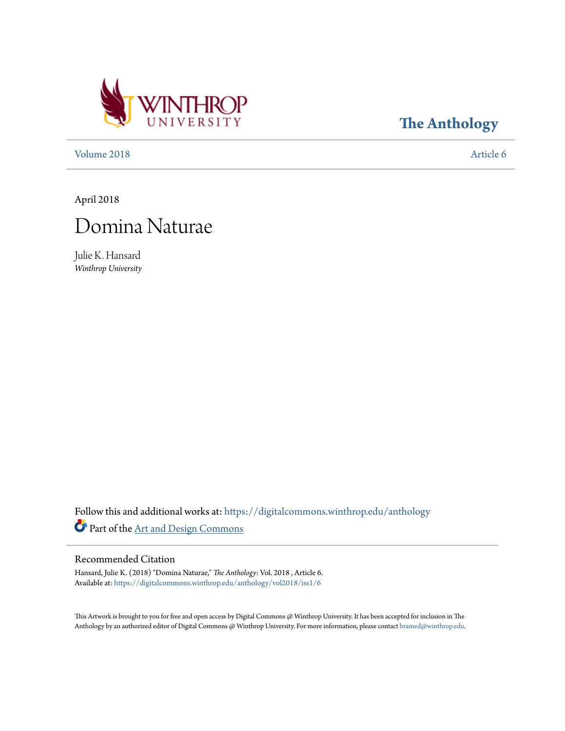

**[The Anthology](https://digitalcommons.winthrop.edu/anthology?utm_source=digitalcommons.winthrop.edu%2Fanthology%2Fvol2018%2Fiss1%2F6&utm_medium=PDF&utm_campaign=PDFCoverPages)**

[Volume 2018](https://digitalcommons.winthrop.edu/anthology/vol2018?utm_source=digitalcommons.winthrop.edu%2Fanthology%2Fvol2018%2Fiss1%2F6&utm_medium=PDF&utm_campaign=PDFCoverPages) [Article 6](https://digitalcommons.winthrop.edu/anthology/vol2018/iss1/6?utm_source=digitalcommons.winthrop.edu%2Fanthology%2Fvol2018%2Fiss1%2F6&utm_medium=PDF&utm_campaign=PDFCoverPages)

April 2018

## Domina Naturae

Julie K. Hansard *Winthrop University*

Follow this and additional works at: [https://digitalcommons.winthrop.edu/anthology](https://digitalcommons.winthrop.edu/anthology?utm_source=digitalcommons.winthrop.edu%2Fanthology%2Fvol2018%2Fiss1%2F6&utm_medium=PDF&utm_campaign=PDFCoverPages) Part of the [Art and Design Commons](http://network.bepress.com/hgg/discipline/1049?utm_source=digitalcommons.winthrop.edu%2Fanthology%2Fvol2018%2Fiss1%2F6&utm_medium=PDF&utm_campaign=PDFCoverPages)

## Recommended Citation

Hansard, Julie K. (2018) "Domina Naturae," *The Anthology*: Vol. 2018 , Article 6. Available at: [https://digitalcommons.winthrop.edu/anthology/vol2018/iss1/6](https://digitalcommons.winthrop.edu/anthology/vol2018/iss1/6?utm_source=digitalcommons.winthrop.edu%2Fanthology%2Fvol2018%2Fiss1%2F6&utm_medium=PDF&utm_campaign=PDFCoverPages)

This Artwork is brought to you for free and open access by Digital Commons @ Winthrop University. It has been accepted for inclusion in The Anthology by an authorized editor of Digital Commons @ Winthrop University. For more information, please contact [bramed@winthrop.edu](mailto:bramed@winthrop.edu).